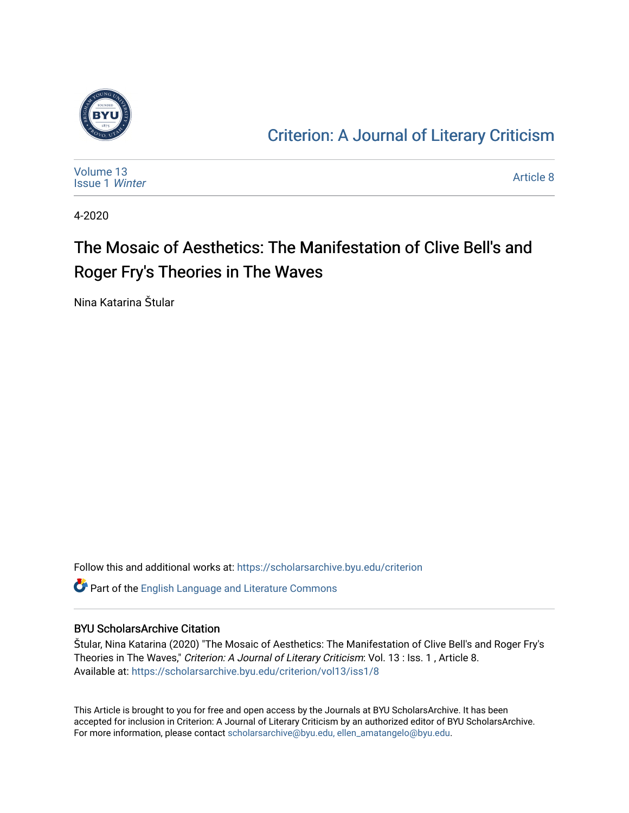

### [Criterion: A Journal of Literary Criticism](https://scholarsarchive.byu.edu/criterion)

| Volume 13<br><b>Issue 1 Winter</b> | Article 8 |
|------------------------------------|-----------|
|------------------------------------|-----------|

4-2020

### The Mosaic of Aesthetics: The Manifestation of Clive Bell's and Roger Fry's Theories in The Waves

Nina Katarina Štular

Follow this and additional works at: [https://scholarsarchive.byu.edu/criterion](https://scholarsarchive.byu.edu/criterion?utm_source=scholarsarchive.byu.edu%2Fcriterion%2Fvol13%2Fiss1%2F8&utm_medium=PDF&utm_campaign=PDFCoverPages) 

Part of the [English Language and Literature Commons](http://network.bepress.com/hgg/discipline/455?utm_source=scholarsarchive.byu.edu%2Fcriterion%2Fvol13%2Fiss1%2F8&utm_medium=PDF&utm_campaign=PDFCoverPages)

#### BYU ScholarsArchive Citation

Štular, Nina Katarina (2020) "The Mosaic of Aesthetics: The Manifestation of Clive Bell's and Roger Fry's Theories in The Waves," Criterion: A Journal of Literary Criticism: Vol. 13 : Iss. 1, Article 8. Available at: [https://scholarsarchive.byu.edu/criterion/vol13/iss1/8](https://scholarsarchive.byu.edu/criterion/vol13/iss1/8?utm_source=scholarsarchive.byu.edu%2Fcriterion%2Fvol13%2Fiss1%2F8&utm_medium=PDF&utm_campaign=PDFCoverPages)

This Article is brought to you for free and open access by the Journals at BYU ScholarsArchive. It has been accepted for inclusion in Criterion: A Journal of Literary Criticism by an authorized editor of BYU ScholarsArchive. For more information, please contact [scholarsarchive@byu.edu, ellen\\_amatangelo@byu.edu](mailto:scholarsarchive@byu.edu,%20ellen_amatangelo@byu.edu).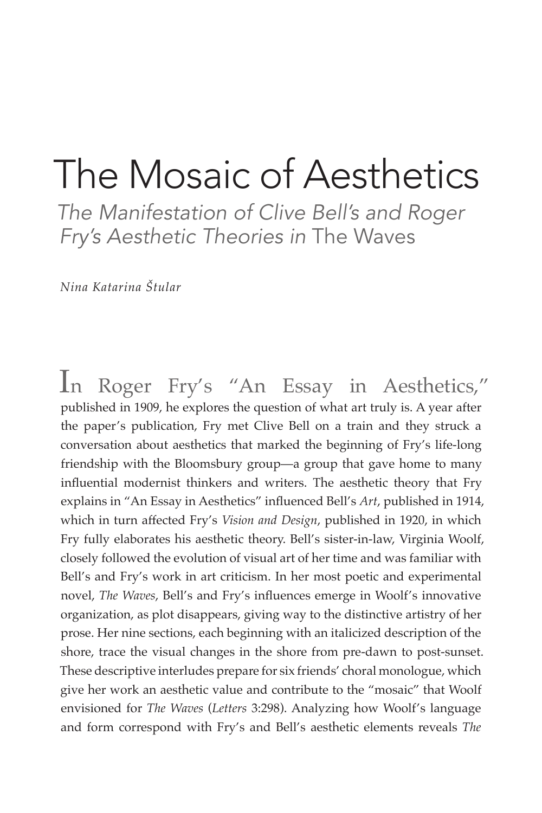# The Mosaic of Aesthetics

*The Manifestation of Clive Bell's and Roger Fry's Aesthetic Theories in* The Waves

*Nina Katarina Štular*

In Roger Fry's "An Essay in Aesthetics," published in 1909, he explores the question of what art truly is. A year after the paper's publication, Fry met Clive Bell on a train and they struck a conversation about aesthetics that marked the beginning of Fry's life-long friendship with the Bloomsbury group—a group that gave home to many influential modernist thinkers and writers. The aesthetic theory that Fry explains in "An Essay in Aesthetics" influenced Bell's *Art*, published in 1914, which in turn affected Fry's *Vision and Design*, published in 1920, in which Fry fully elaborates his aesthetic theory. Bell's sister-in-law, Virginia Woolf, closely followed the evolution of visual art of her time and was familiar with Bell's and Fry's work in art criticism. In her most poetic and experimental novel, *The Waves*, Bell's and Fry's influences emerge in Woolf's innovative organization, as plot disappears, giving way to the distinctive artistry of her prose. Her nine sections, each beginning with an italicized description of the shore, trace the visual changes in the shore from pre-dawn to post-sunset. These descriptive interludes prepare for six friends' choral monologue, which give her work an aesthetic value and contribute to the "mosaic" that Woolf envisioned for *The Waves* (*Letters* 3:298). Analyzing how Woolf's language and form correspond with Fry's and Bell's aesthetic elements reveals *The*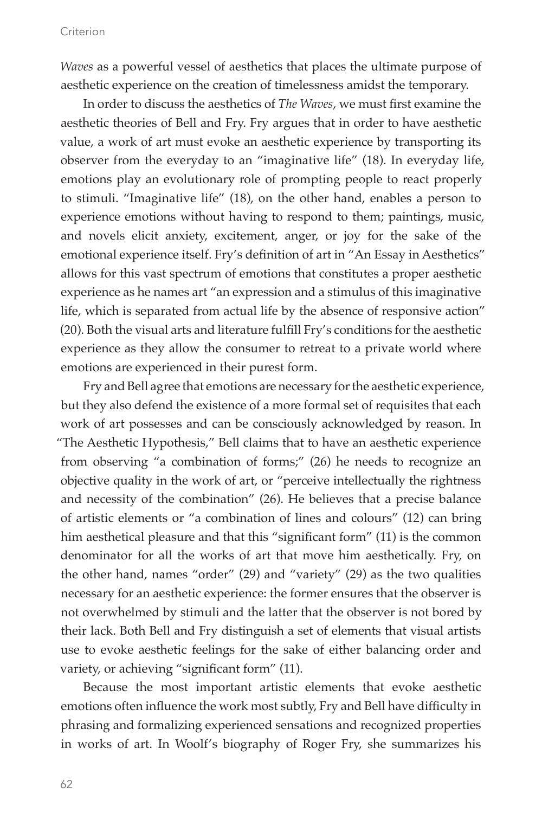*Waves* as a powerful vessel of aesthetics that places the ultimate purpose of aesthetic experience on the creation of timelessness amidst the temporary.

In order to discuss the aesthetics of *The Waves*, we must first examine the aesthetic theories of Bell and Fry. Fry argues that in order to have aesthetic value, a work of art must evoke an aesthetic experience by transporting its observer from the everyday to an "imaginative life" (18). In everyday life, emotions play an evolutionary role of prompting people to react properly to stimuli. "Imaginative life" (18), on the other hand, enables a person to experience emotions without having to respond to them; paintings, music, and novels elicit anxiety, excitement, anger, or joy for the sake of the emotional experience itself. Fry's definition of art in "An Essay in Aesthetics" allows for this vast spectrum of emotions that constitutes a proper aesthetic experience as he names art "an expression and a stimulus of this imaginative life, which is separated from actual life by the absence of responsive action" (20). Both the visual arts and literature fulfill Fry's conditions for the aesthetic experience as they allow the consumer to retreat to a private world where emotions are experienced in their purest form.

Fry and Bell agree that emotions are necessary for the aesthetic experience, but they also defend the existence of a more formal set of requisites that each work of art possesses and can be consciously acknowledged by reason. In "The Aesthetic Hypothesis," Bell claims that to have an aesthetic experience from observing "a combination of forms;" (26) he needs to recognize an objective quality in the work of art, or "perceive intellectually the rightness and necessity of the combination" (26). He believes that a precise balance of artistic elements or "a combination of lines and colours" (12) can bring him aesthetical pleasure and that this "significant form" (11) is the common denominator for all the works of art that move him aesthetically. Fry, on the other hand, names "order" (29) and "variety" (29) as the two qualities necessary for an aesthetic experience: the former ensures that the observer is not overwhelmed by stimuli and the latter that the observer is not bored by their lack. Both Bell and Fry distinguish a set of elements that visual artists use to evoke aesthetic feelings for the sake of either balancing order and variety, or achieving "significant form" (11).

Because the most important artistic elements that evoke aesthetic emotions often influence the work most subtly, Fry and Bell have difficulty in phrasing and formalizing experienced sensations and recognized properties in works of art. In Woolf's biography of Roger Fry, she summarizes his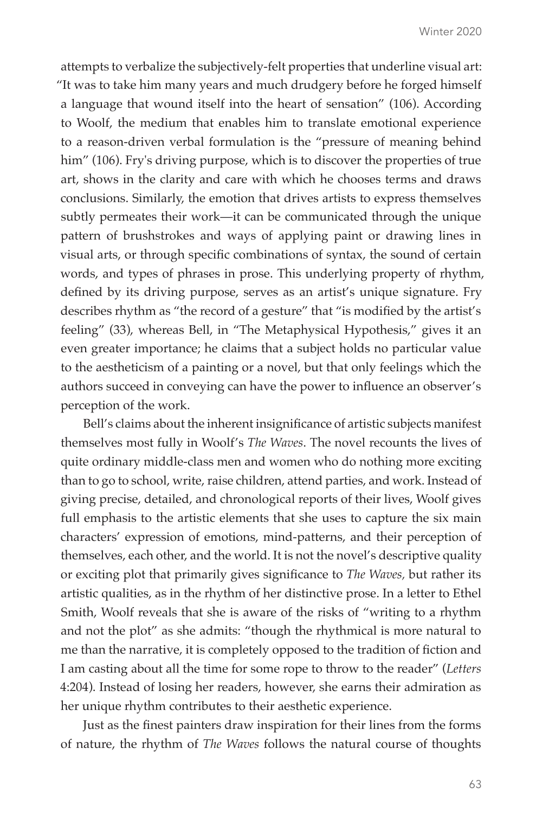attempts to verbalize the subjectively-felt properties that underline visual art: "It was to take him many years and much drudgery before he forged himself a language that wound itself into the heart of sensation" (106). According to Woolf, the medium that enables him to translate emotional experience to a reason-driven verbal formulation is the "pressure of meaning behind him" (106). Fry's driving purpose, which is to discover the properties of true art, shows in the clarity and care with which he chooses terms and draws conclusions. Similarly, the emotion that drives artists to express themselves subtly permeates their work—it can be communicated through the unique pattern of brushstrokes and ways of applying paint or drawing lines in visual arts, or through specific combinations of syntax, the sound of certain words, and types of phrases in prose. This underlying property of rhythm, defined by its driving purpose, serves as an artist's unique signature. Fry describes rhythm as "the record of a gesture" that "is modified by the artist's feeling" (33), whereas Bell, in "The Metaphysical Hypothesis," gives it an even greater importance; he claims that a subject holds no particular value to the aestheticism of a painting or a novel, but that only feelings which the authors succeed in conveying can have the power to influence an observer's perception of the work.

Bell's claims about the inherent insignificance of artistic subjects manifest themselves most fully in Woolf's *The Waves*. The novel recounts the lives of quite ordinary middle-class men and women who do nothing more exciting than to go to school, write, raise children, attend parties, and work. Instead of giving precise, detailed, and chronological reports of their lives, Woolf gives full emphasis to the artistic elements that she uses to capture the six main characters' expression of emotions, mind-patterns, and their perception of themselves, each other, and the world. It is not the novel's descriptive quality or exciting plot that primarily gives significance to *The Waves,* but rather its artistic qualities, as in the rhythm of her distinctive prose. In a letter to Ethel Smith, Woolf reveals that she is aware of the risks of "writing to a rhythm and not the plot" as she admits: "though the rhythmical is more natural to me than the narrative, it is completely opposed to the tradition of fiction and I am casting about all the time for some rope to throw to the reader" (*Letters* 4:204). Instead of losing her readers, however, she earns their admiration as her unique rhythm contributes to their aesthetic experience.

Just as the finest painters draw inspiration for their lines from the forms of nature, the rhythm of *The Waves* follows the natural course of thoughts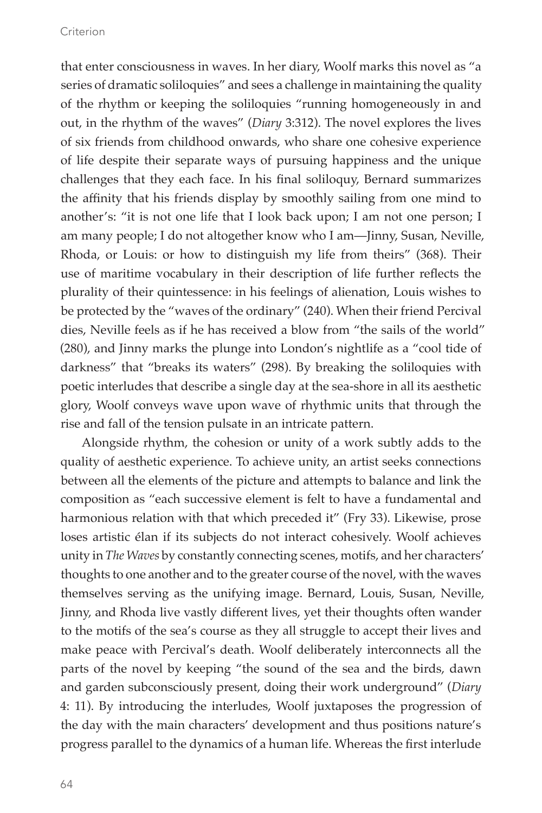#### Criterion

that enter consciousness in waves. In her diary, Woolf marks this novel as "a series of dramatic soliloquies" and sees a challenge in maintaining the quality of the rhythm or keeping the soliloquies "running homogeneously in and out, in the rhythm of the waves" (*Diary* 3:312). The novel explores the lives of six friends from childhood onwards, who share one cohesive experience of life despite their separate ways of pursuing happiness and the unique challenges that they each face. In his final soliloquy, Bernard summarizes the affinity that his friends display by smoothly sailing from one mind to another's: "it is not one life that I look back upon; I am not one person; I am many people; I do not altogether know who I am—Jinny, Susan, Neville, Rhoda, or Louis: or how to distinguish my life from theirs" (368). Their use of maritime vocabulary in their description of life further reflects the plurality of their quintessence: in his feelings of alienation, Louis wishes to be protected by the "waves of the ordinary" (240). When their friend Percival dies, Neville feels as if he has received a blow from "the sails of the world" (280), and Jinny marks the plunge into London's nightlife as a "cool tide of darkness" that "breaks its waters" (298). By breaking the soliloquies with poetic interludes that describe a single day at the sea-shore in all its aesthetic glory, Woolf conveys wave upon wave of rhythmic units that through the rise and fall of the tension pulsate in an intricate pattern.

Alongside rhythm, the cohesion or unity of a work subtly adds to the quality of aesthetic experience. To achieve unity, an artist seeks connections between all the elements of the picture and attempts to balance and link the composition as "each successive element is felt to have a fundamental and harmonious relation with that which preceded it" (Fry 33). Likewise, prose loses artistic élan if its subjects do not interact cohesively. Woolf achieves unity in *The Waves* by constantly connecting scenes, motifs, and her characters' thoughts to one another and to the greater course of the novel, with the waves themselves serving as the unifying image. Bernard, Louis, Susan, Neville, Jinny, and Rhoda live vastly different lives, yet their thoughts often wander to the motifs of the sea's course as they all struggle to accept their lives and make peace with Percival's death. Woolf deliberately interconnects all the parts of the novel by keeping "the sound of the sea and the birds, dawn and garden subconsciously present, doing their work underground" (*Diary* 4: 11). By introducing the interludes, Woolf juxtaposes the progression of the day with the main characters' development and thus positions nature's progress parallel to the dynamics of a human life. Whereas the first interlude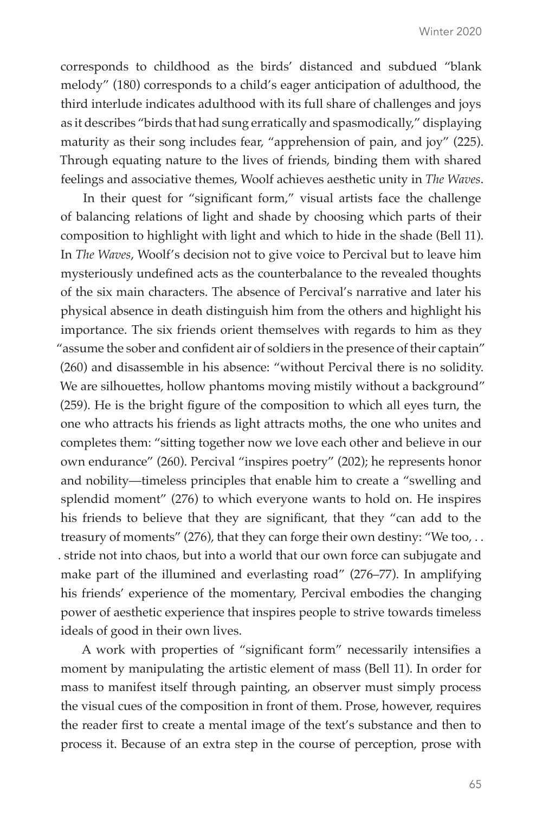corresponds to childhood as the birds' distanced and subdued "blank melody" (180) corresponds to a child's eager anticipation of adulthood, the third interlude indicates adulthood with its full share of challenges and joys as it describes "birds that had sung erratically and spasmodically," displaying maturity as their song includes fear, "apprehension of pain, and joy" (225). Through equating nature to the lives of friends, binding them with shared feelings and associative themes, Woolf achieves aesthetic unity in *The Waves*.

In their quest for "significant form," visual artists face the challenge of balancing relations of light and shade by choosing which parts of their composition to highlight with light and which to hide in the shade (Bell 11). In *The Waves*, Woolf's decision not to give voice to Percival but to leave him mysteriously undefined acts as the counterbalance to the revealed thoughts of the six main characters. The absence of Percival's narrative and later his physical absence in death distinguish him from the others and highlight his importance. The six friends orient themselves with regards to him as they "assume the sober and confident air of soldiers in the presence of their captain" (260) and disassemble in his absence: "without Percival there is no solidity. We are silhouettes, hollow phantoms moving mistily without a background" (259). He is the bright figure of the composition to which all eyes turn, the one who attracts his friends as light attracts moths, the one who unites and completes them: "sitting together now we love each other and believe in our own endurance" (260). Percival "inspires poetry" (202); he represents honor and nobility—timeless principles that enable him to create a "swelling and splendid moment" (276) to which everyone wants to hold on. He inspires his friends to believe that they are significant, that they "can add to the treasury of moments" (276), that they can forge their own destiny: "We too, . . . stride not into chaos, but into a world that our own force can subjugate and make part of the illumined and everlasting road" (276–77). In amplifying his friends' experience of the momentary, Percival embodies the changing power of aesthetic experience that inspires people to strive towards timeless ideals of good in their own lives.

A work with properties of "significant form" necessarily intensifies a moment by manipulating the artistic element of mass (Bell 11). In order for mass to manifest itself through painting, an observer must simply process the visual cues of the composition in front of them. Prose, however, requires the reader first to create a mental image of the text's substance and then to process it. Because of an extra step in the course of perception, prose with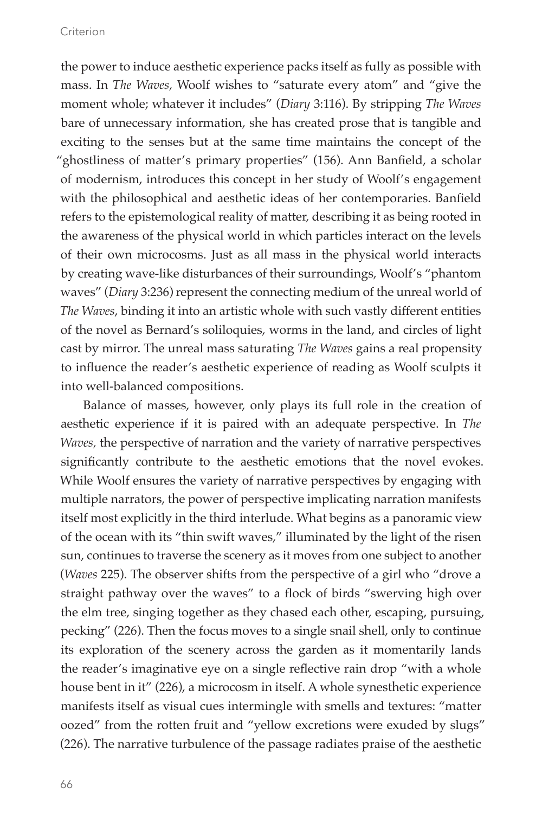the power to induce aesthetic experience packs itself as fully as possible with mass. In *The Waves,* Woolf wishes to "saturate every atom" and "give the moment whole; whatever it includes" (*Diary* 3:116). By stripping *The Waves*  bare of unnecessary information, she has created prose that is tangible and exciting to the senses but at the same time maintains the concept of the "ghostliness of matter's primary properties" (156). Ann Banfield, a scholar of modernism, introduces this concept in her study of Woolf's engagement with the philosophical and aesthetic ideas of her contemporaries. Banfield refers to the epistemological reality of matter, describing it as being rooted in the awareness of the physical world in which particles interact on the levels of their own microcosms. Just as all mass in the physical world interacts by creating wave-like disturbances of their surroundings, Woolf's "phantom waves" (*Diary* 3:236) represent the connecting medium of the unreal world of *The Waves*, binding it into an artistic whole with such vastly different entities of the novel as Bernard's soliloquies, worms in the land, and circles of light cast by mirror. The unreal mass saturating *The Waves* gains a real propensity to influence the reader's aesthetic experience of reading as Woolf sculpts it into well-balanced compositions.

Balance of masses, however, only plays its full role in the creation of aesthetic experience if it is paired with an adequate perspective. In *The Waves,* the perspective of narration and the variety of narrative perspectives significantly contribute to the aesthetic emotions that the novel evokes. While Woolf ensures the variety of narrative perspectives by engaging with multiple narrators, the power of perspective implicating narration manifests itself most explicitly in the third interlude. What begins as a panoramic view of the ocean with its "thin swift waves," illuminated by the light of the risen sun, continues to traverse the scenery as it moves from one subject to another (*Waves* 225). The observer shifts from the perspective of a girl who "drove a straight pathway over the waves" to a flock of birds "swerving high over the elm tree, singing together as they chased each other, escaping, pursuing, pecking" (226). Then the focus moves to a single snail shell, only to continue its exploration of the scenery across the garden as it momentarily lands the reader's imaginative eye on a single reflective rain drop "with a whole house bent in it" (226), a microcosm in itself. A whole synesthetic experience manifests itself as visual cues intermingle with smells and textures: "matter oozed" from the rotten fruit and "yellow excretions were exuded by slugs" (226). The narrative turbulence of the passage radiates praise of the aesthetic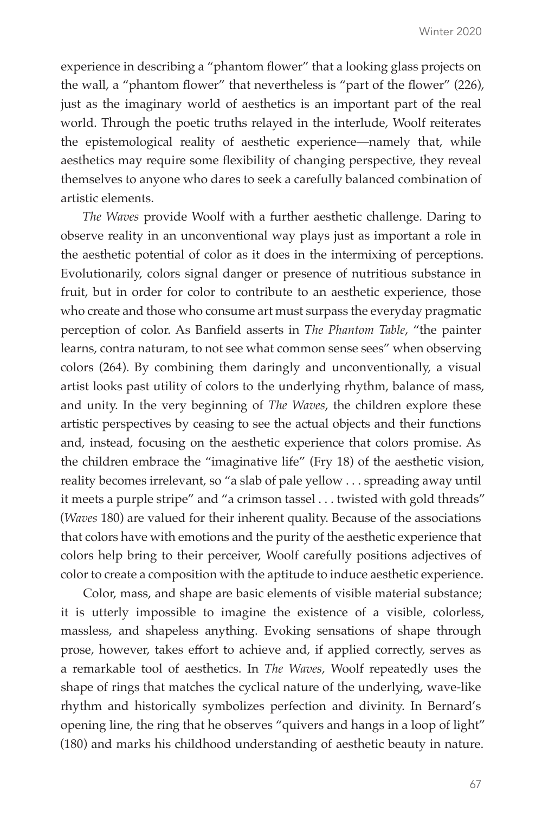experience in describing a "phantom flower" that a looking glass projects on the wall, a "phantom flower" that nevertheless is "part of the flower" (226), just as the imaginary world of aesthetics is an important part of the real world. Through the poetic truths relayed in the interlude, Woolf reiterates the epistemological reality of aesthetic experience—namely that, while aesthetics may require some flexibility of changing perspective, they reveal themselves to anyone who dares to seek a carefully balanced combination of artistic elements.

*The Waves* provide Woolf with a further aesthetic challenge. Daring to observe reality in an unconventional way plays just as important a role in the aesthetic potential of color as it does in the intermixing of perceptions. Evolutionarily, colors signal danger or presence of nutritious substance in fruit, but in order for color to contribute to an aesthetic experience, those who create and those who consume art must surpass the everyday pragmatic perception of color. As Banfield asserts in *The Phantom Table*, "the painter learns, contra naturam, to not see what common sense sees" when observing colors (264). By combining them daringly and unconventionally, a visual artist looks past utility of colors to the underlying rhythm, balance of mass, and unity. In the very beginning of *The Waves*, the children explore these artistic perspectives by ceasing to see the actual objects and their functions and, instead, focusing on the aesthetic experience that colors promise. As the children embrace the "imaginative life" (Fry 18) of the aesthetic vision, reality becomes irrelevant, so "a slab of pale yellow . . . spreading away until it meets a purple stripe" and "a crimson tassel . . . twisted with gold threads" (*Waves* 180) are valued for their inherent quality. Because of the associations that colors have with emotions and the purity of the aesthetic experience that colors help bring to their perceiver, Woolf carefully positions adjectives of color to create a composition with the aptitude to induce aesthetic experience.

Color, mass, and shape are basic elements of visible material substance; it is utterly impossible to imagine the existence of a visible, colorless, massless, and shapeless anything. Evoking sensations of shape through prose, however, takes effort to achieve and, if applied correctly, serves as a remarkable tool of aesthetics. In *The Waves*, Woolf repeatedly uses the shape of rings that matches the cyclical nature of the underlying, wave-like rhythm and historically symbolizes perfection and divinity. In Bernard's opening line, the ring that he observes "quivers and hangs in a loop of light" (180) and marks his childhood understanding of aesthetic beauty in nature.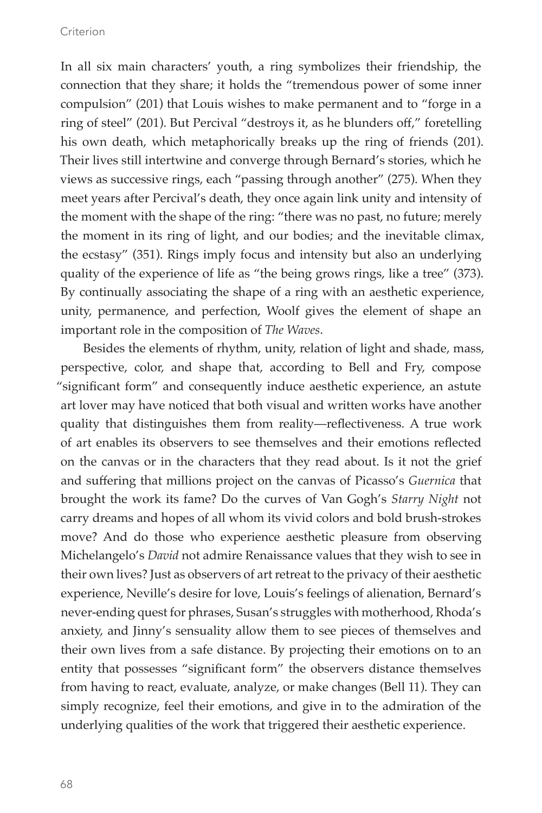#### Criterion

In all six main characters' youth, a ring symbolizes their friendship, the connection that they share; it holds the "tremendous power of some inner compulsion" (201) that Louis wishes to make permanent and to "forge in a ring of steel" (201). But Percival "destroys it, as he blunders off," foretelling his own death, which metaphorically breaks up the ring of friends (201). Their lives still intertwine and converge through Bernard's stories, which he views as successive rings, each "passing through another" (275). When they meet years after Percival's death, they once again link unity and intensity of the moment with the shape of the ring: "there was no past, no future; merely the moment in its ring of light, and our bodies; and the inevitable climax, the ecstasy" (351). Rings imply focus and intensity but also an underlying quality of the experience of life as "the being grows rings, like a tree" (373). By continually associating the shape of a ring with an aesthetic experience, unity, permanence, and perfection, Woolf gives the element of shape an important role in the composition of *The Waves*.

Besides the elements of rhythm, unity, relation of light and shade, mass, perspective, color, and shape that, according to Bell and Fry, compose "significant form" and consequently induce aesthetic experience, an astute art lover may have noticed that both visual and written works have another quality that distinguishes them from reality—reflectiveness. A true work of art enables its observers to see themselves and their emotions reflected on the canvas or in the characters that they read about. Is it not the grief and suffering that millions project on the canvas of Picasso's *Guernica* that brought the work its fame? Do the curves of Van Gogh's *Starry Night* not carry dreams and hopes of all whom its vivid colors and bold brush-strokes move? And do those who experience aesthetic pleasure from observing Michelangelo's *David* not admire Renaissance values that they wish to see in their own lives? Just as observers of art retreat to the privacy of their aesthetic experience, Neville's desire for love, Louis's feelings of alienation, Bernard's never-ending quest for phrases, Susan's struggles with motherhood, Rhoda's anxiety, and Jinny's sensuality allow them to see pieces of themselves and their own lives from a safe distance. By projecting their emotions on to an entity that possesses "significant form" the observers distance themselves from having to react, evaluate, analyze, or make changes (Bell 11). They can simply recognize, feel their emotions, and give in to the admiration of the underlying qualities of the work that triggered their aesthetic experience.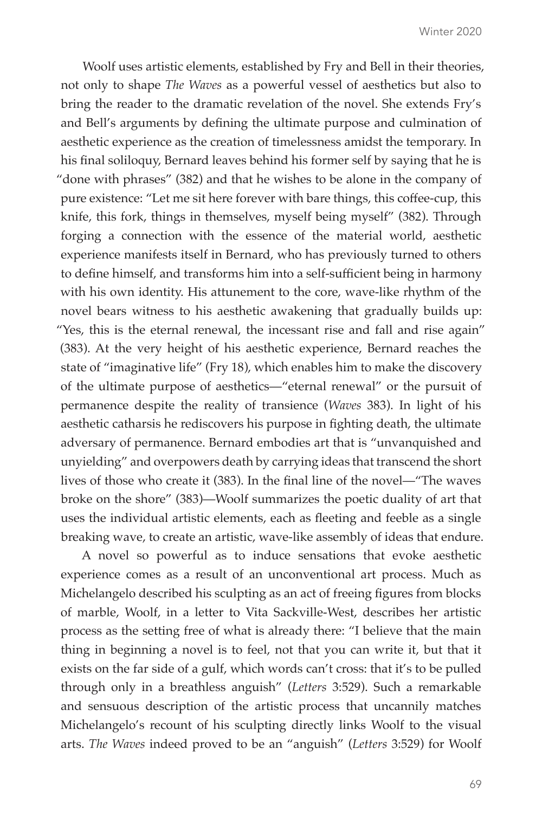Woolf uses artistic elements, established by Fry and Bell in their theories, not only to shape *The Waves* as a powerful vessel of aesthetics but also to bring the reader to the dramatic revelation of the novel. She extends Fry's and Bell's arguments by defining the ultimate purpose and culmination of aesthetic experience as the creation of timelessness amidst the temporary. In his final soliloquy, Bernard leaves behind his former self by saying that he is "done with phrases" (382) and that he wishes to be alone in the company of pure existence: "Let me sit here forever with bare things, this coffee-cup, this knife, this fork, things in themselves, myself being myself" (382). Through forging a connection with the essence of the material world, aesthetic experience manifests itself in Bernard, who has previously turned to others to define himself, and transforms him into a self-sufficient being in harmony with his own identity. His attunement to the core, wave-like rhythm of the novel bears witness to his aesthetic awakening that gradually builds up: "Yes, this is the eternal renewal, the incessant rise and fall and rise again" (383). At the very height of his aesthetic experience, Bernard reaches the state of "imaginative life" (Fry 18), which enables him to make the discovery of the ultimate purpose of aesthetics—"eternal renewal" or the pursuit of permanence despite the reality of transience (*Waves* 383). In light of his aesthetic catharsis he rediscovers his purpose in fighting death, the ultimate adversary of permanence. Bernard embodies art that is "unvanquished and unyielding" and overpowers death by carrying ideas that transcend the short lives of those who create it (383). In the final line of the novel—"The waves broke on the shore" (383)—Woolf summarizes the poetic duality of art that uses the individual artistic elements, each as fleeting and feeble as a single breaking wave, to create an artistic, wave-like assembly of ideas that endure.

A novel so powerful as to induce sensations that evoke aesthetic experience comes as a result of an unconventional art process. Much as Michelangelo described his sculpting as an act of freeing figures from blocks of marble, Woolf, in a letter to Vita Sackville-West, describes her artistic process as the setting free of what is already there: "I believe that the main thing in beginning a novel is to feel, not that you can write it, but that it exists on the far side of a gulf, which words can't cross: that it's to be pulled through only in a breathless anguish" (*Letters* 3:529). Such a remarkable and sensuous description of the artistic process that uncannily matches Michelangelo's recount of his sculpting directly links Woolf to the visual arts. *The Waves* indeed proved to be an "anguish" (*Letters* 3:529) for Woolf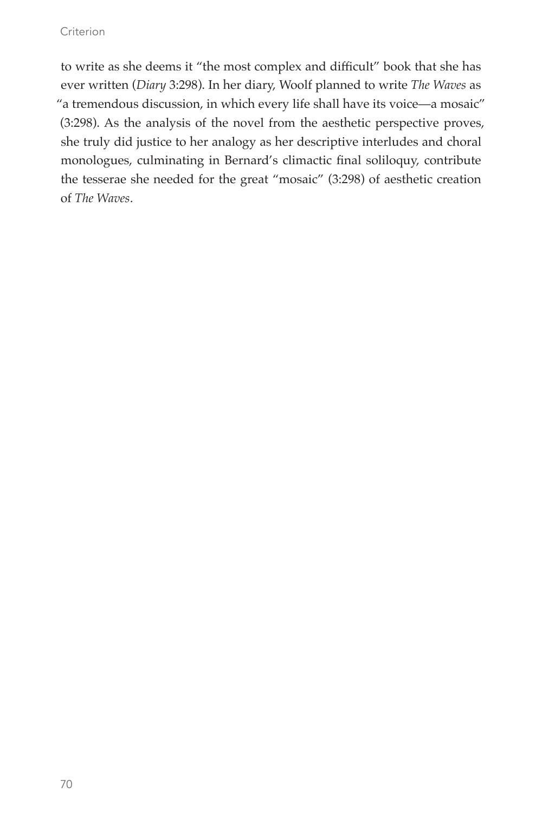#### **Criterion**

to write as she deems it "the most complex and difficult" book that she has ever written (*Diary* 3:298). In her diary, Woolf planned to write *The Waves* as "a tremendous discussion, in which every life shall have its voice—a mosaic" (3:298). As the analysis of the novel from the aesthetic perspective proves, she truly did justice to her analogy as her descriptive interludes and choral monologues, culminating in Bernard's climactic final soliloquy, contribute the tesserae she needed for the great "mosaic" (3:298) of aesthetic creation of *The Waves*.